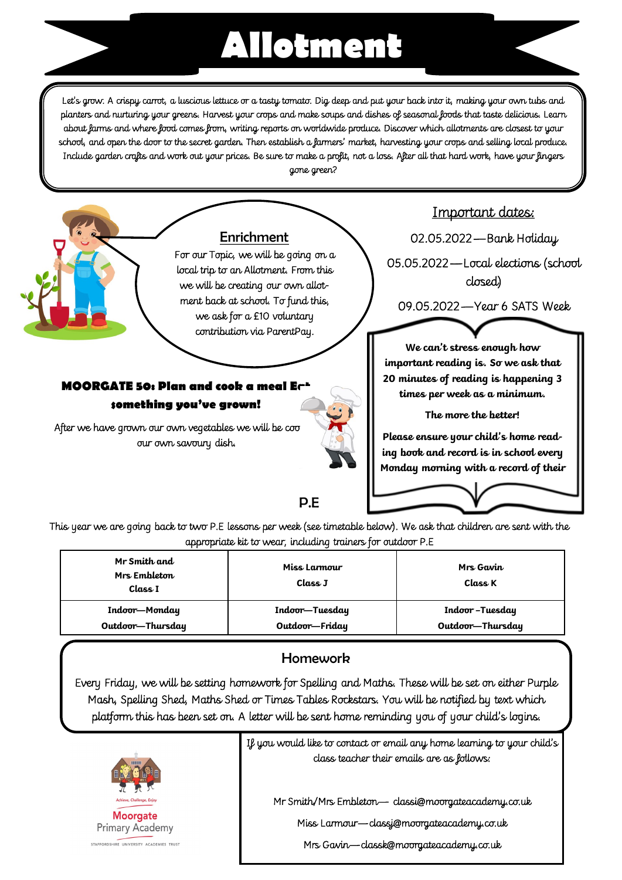## **Allotment**

Let's grow. A crispy carrot, a luscious lettuce or a tasty tomato. Dig deep and put your back into it, making your own tubs and planters and nurturing your greens. Harvest your crops and make soups and dishes of seasonal foods that taste delicious. Learn about farms and where food comes from, writing reports on worldwide produce. Discover which allotments are closest to your school, and open the door to the secret garden. Then establish a farmers' market, harvesting your crops and selling local produce. Include garden crafts and work out your prices. Be sure to make a profit, not a loss. After all that hard work, have your fingers gone green?



This year we are going back to two P.E lessons per week (see timetable below). We ask that children are sent with the appropriate kit to wear, including trainers for outdoor P.E

| Mr Smith and<br>Mrs Embleton<br>Class I | Miss Larmour<br>Class J | Mrs Gavin<br>Class K |
|-----------------------------------------|-------------------------|----------------------|
| Indoor-Monday                           | Indoor-Tuesday          | Indoor-Tuesday       |
| Outdoor-Thursday                        | Outdoor-Friday          | Outdoor-Thursday     |

## **Homework**

Every Friday, we will be setting homework for Spelling and Maths. These will be set on either Purple Mash, Spelling Shed, Maths Shed or Times Tables Rockstars. You will be notified by text which platform this has been set on. A letter will be sent home reminding you of your child's logins.



If you would like to contact or email any home learning to your child's class teacher their emails are as follows:

Mr Smith/Mrs Embleton— classi@moorgateacademy.co.uk

Miss Larmour—classj@moorgateacademy.co.uk

Mrs Gavin—classk@moorgateacademy.co.uk